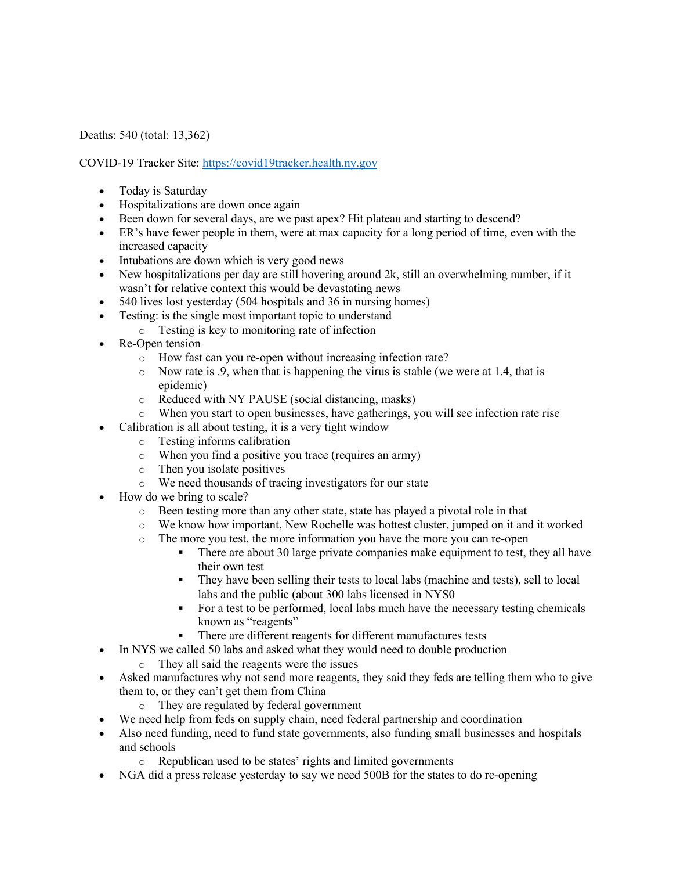Deaths: 540 (total: 13,362)

COVID-19 Tracker Site: https://covid19tracker.health.ny.gov

- Today is Saturday
- Hospitalizations are down once again
- Been down for several days, are we past apex? Hit plateau and starting to descend?
- ER's have fewer people in them, were at max capacity for a long period of time, even with the increased capacity
- Intubations are down which is very good news
- New hospitalizations per day are still hovering around 2k, still an overwhelming number, if it wasn't for relative context this would be devastating news
- 540 lives lost yesterday (504 hospitals and 36 in nursing homes)
- Testing: is the single most important topic to understand
	- o Testing is key to monitoring rate of infection
- Re-Open tension
	- o How fast can you re-open without increasing infection rate?
	- o Now rate is .9, when that is happening the virus is stable (we were at 1.4, that is epidemic)
	- o Reduced with NY PAUSE (social distancing, masks)
	- o When you start to open businesses, have gatherings, you will see infection rate rise
- Calibration is all about testing, it is a very tight window
	- o Testing informs calibration
	- o When you find a positive you trace (requires an army)
	- o Then you isolate positives
	- o We need thousands of tracing investigators for our state
- How do we bring to scale?
	- o Been testing more than any other state, state has played a pivotal role in that
	- o We know how important, New Rochelle was hottest cluster, jumped on it and it worked
	- o The more you test, the more information you have the more you can re-open
		- There are about 30 large private companies make equipment to test, they all have their own test
		- They have been selling their tests to local labs (machine and tests), sell to local labs and the public (about 300 labs licensed in NYS0
		- For a test to be performed, local labs much have the necessary testing chemicals known as "reagents"
		- § There are different reagents for different manufactures tests
- In NYS we called 50 labs and asked what they would need to double production
	- o They all said the reagents were the issues
- Asked manufactures why not send more reagents, they said they feds are telling them who to give them to, or they can't get them from China
	- o They are regulated by federal government
- We need help from feds on supply chain, need federal partnership and coordination
- Also need funding, need to fund state governments, also funding small businesses and hospitals and schools
	- o Republican used to be states' rights and limited governments
- NGA did a press release yesterday to say we need 500B for the states to do re-opening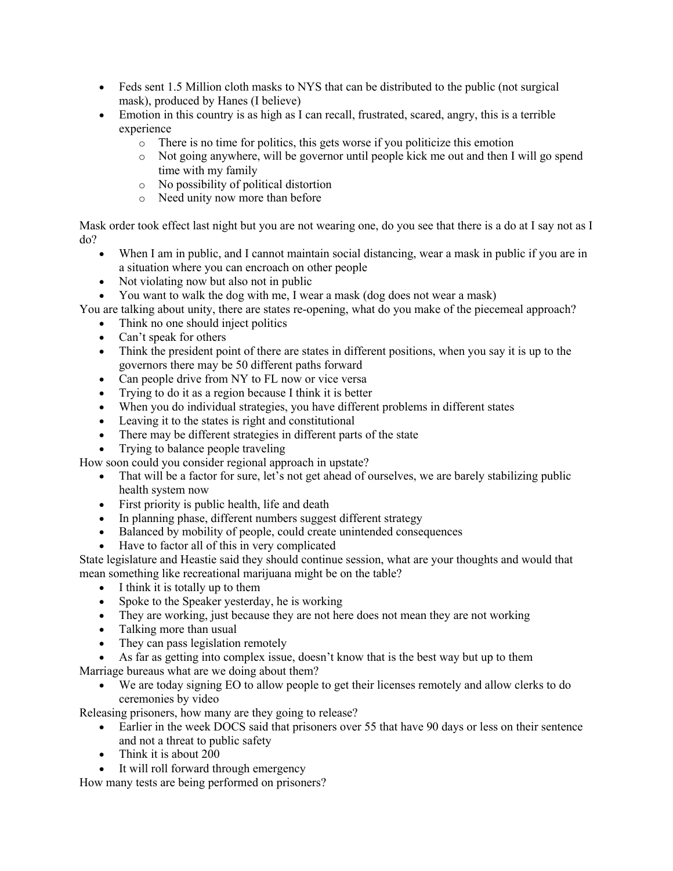- Feds sent 1.5 Million cloth masks to NYS that can be distributed to the public (not surgical mask), produced by Hanes (I believe)
- Emotion in this country is as high as I can recall, frustrated, scared, angry, this is a terrible experience
	- o There is no time for politics, this gets worse if you politicize this emotion
	- o Not going anywhere, will be governor until people kick me out and then I will go spend time with my family
	- o No possibility of political distortion
	- o Need unity now more than before

Mask order took effect last night but you are not wearing one, do you see that there is a do at I say not as I do?

- When I am in public, and I cannot maintain social distancing, wear a mask in public if you are in a situation where you can encroach on other people
- Not violating now but also not in public
- You want to walk the dog with me, I wear a mask (dog does not wear a mask)

You are talking about unity, there are states re-opening, what do you make of the piecemeal approach?

- Think no one should inject politics
- Can't speak for others
- Think the president point of there are states in different positions, when you say it is up to the governors there may be 50 different paths forward
- Can people drive from NY to FL now or vice versa
- Trying to do it as a region because I think it is better
- When you do individual strategies, you have different problems in different states
- Leaving it to the states is right and constitutional
- There may be different strategies in different parts of the state
- Trying to balance people traveling

How soon could you consider regional approach in upstate?

- That will be a factor for sure, let's not get ahead of ourselves, we are barely stabilizing public health system now
- First priority is public health, life and death
- In planning phase, different numbers suggest different strategy
- Balanced by mobility of people, could create unintended consequences
- Have to factor all of this in very complicated

State legislature and Heastie said they should continue session, what are your thoughts and would that mean something like recreational marijuana might be on the table?

- I think it is totally up to them
- Spoke to the Speaker yesterday, he is working
- They are working, just because they are not here does not mean they are not working
- Talking more than usual
- They can pass legislation remotely

As far as getting into complex issue, doesn't know that is the best way but up to them Marriage bureaus what are we doing about them?

• We are today signing EO to allow people to get their licenses remotely and allow clerks to do ceremonies by video

Releasing prisoners, how many are they going to release?

- Earlier in the week DOCS said that prisoners over 55 that have 90 days or less on their sentence and not a threat to public safety
- Think it is about 200
- It will roll forward through emergency

How many tests are being performed on prisoners?